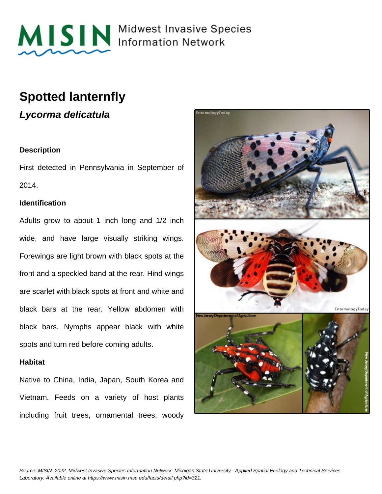

MISIN Midwest Invasive Species

## **Spotted lanternfly**

**Lycorma delicatula**

#### **Description**

First detected in Pennsylvania in September of 2014.

#### **Identification**

Adults grow to about 1 inch long and 1/2 inch wide, and have large visually striking wings. Forewings are light brown with black spots at the front and a speckled band at the rear. Hind wings are scarlet with black spots at front and white and black bars at the rear. Yellow abdomen with black bars. Nymphs appear black with white spots and turn red before coming adults.

#### **Habitat**

Native to China, India, Japan, South Korea and Vietnam. Feeds on a variety of host plants including fruit trees, ornamental trees, woody

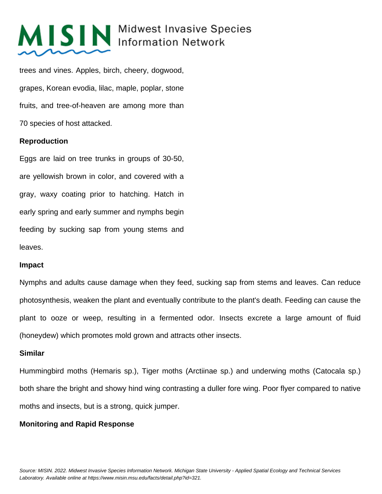## MISIN Midwest Invasive Species

trees and vines. Apples, birch, cheery, dogwood, grapes, Korean evodia, lilac, maple, poplar, stone fruits, and tree-of-heaven are among more than 70 species of host attacked.

#### **Reproduction**

Eggs are laid on tree trunks in groups of 30-50, are yellowish brown in color, and covered with a gray, waxy coating prior to hatching. Hatch in early spring and early summer and nymphs begin feeding by sucking sap from young stems and leaves.

#### **Impact**

Nymphs and adults cause damage when they feed, sucking sap from stems and leaves. Can reduce photosynthesis, weaken the plant and eventually contribute to the plant's death. Feeding can cause the plant to ooze or weep, resulting in a fermented odor. Insects excrete a large amount of fluid (honeydew) which promotes mold grown and attracts other insects.

### **Similar**

Hummingbird moths (Hemaris sp.), Tiger moths (Arctiinae sp.) and underwing moths (Catocala sp.) both share the bright and showy hind wing contrasting a duller fore wing. Poor flyer compared to native moths and insects, but is a strong, quick jumper.

### **Monitoring and Rapid Response**